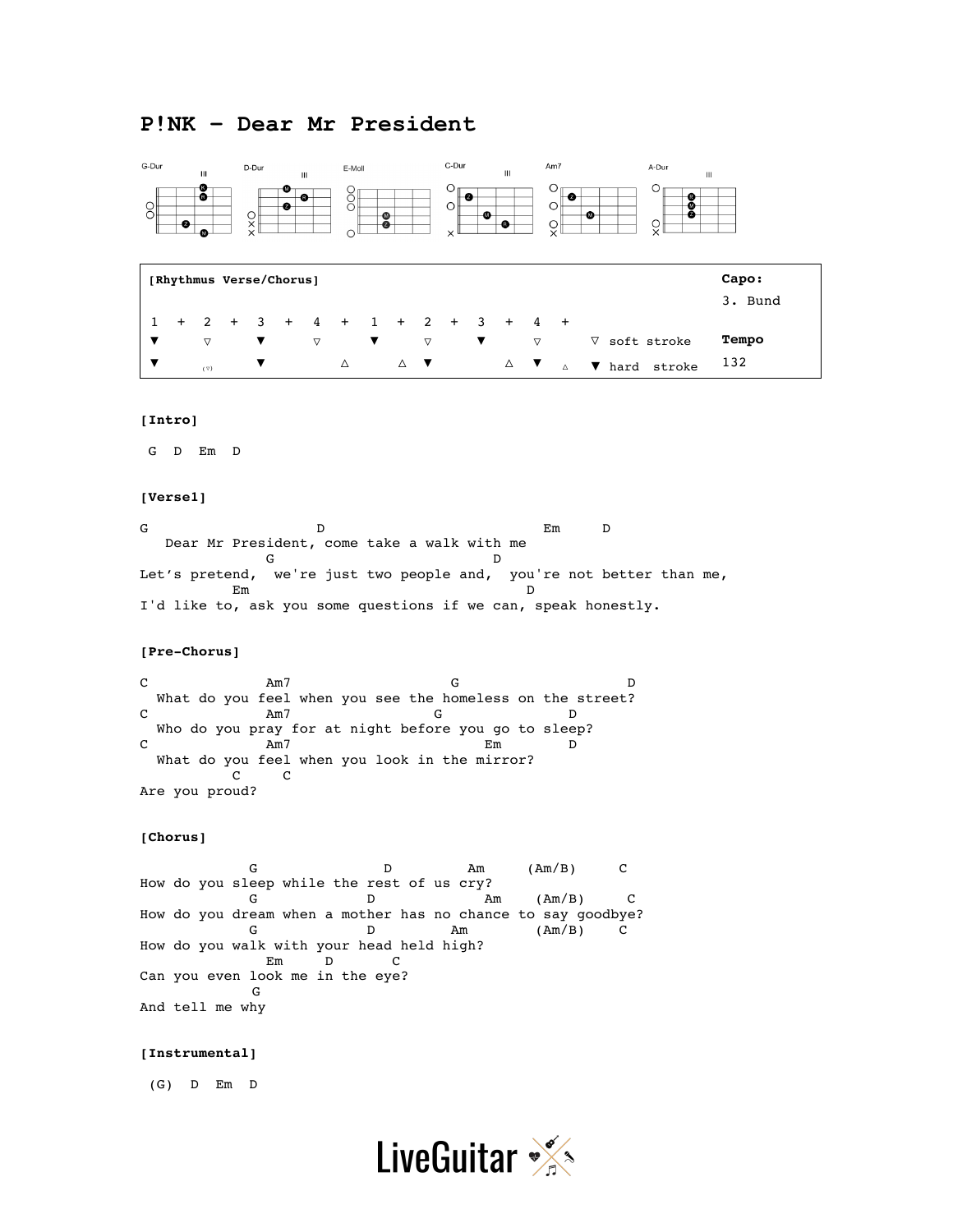# **P!NK – Dear Mr President**



Are you proud?

## **[Chorus]**

G D Am  $(Am/B)$  C How do you sleep while the rest of us cry?  $G$  D am  $(Am/B)$  C How do you dream when a mother has no chance to say goodbye? G D Am  $(Am/B)$  C How do you walk with your head held high? Em D C Can you even look me in the eye? G And tell me why

#### **[Instrumental]**

(G) D Em D

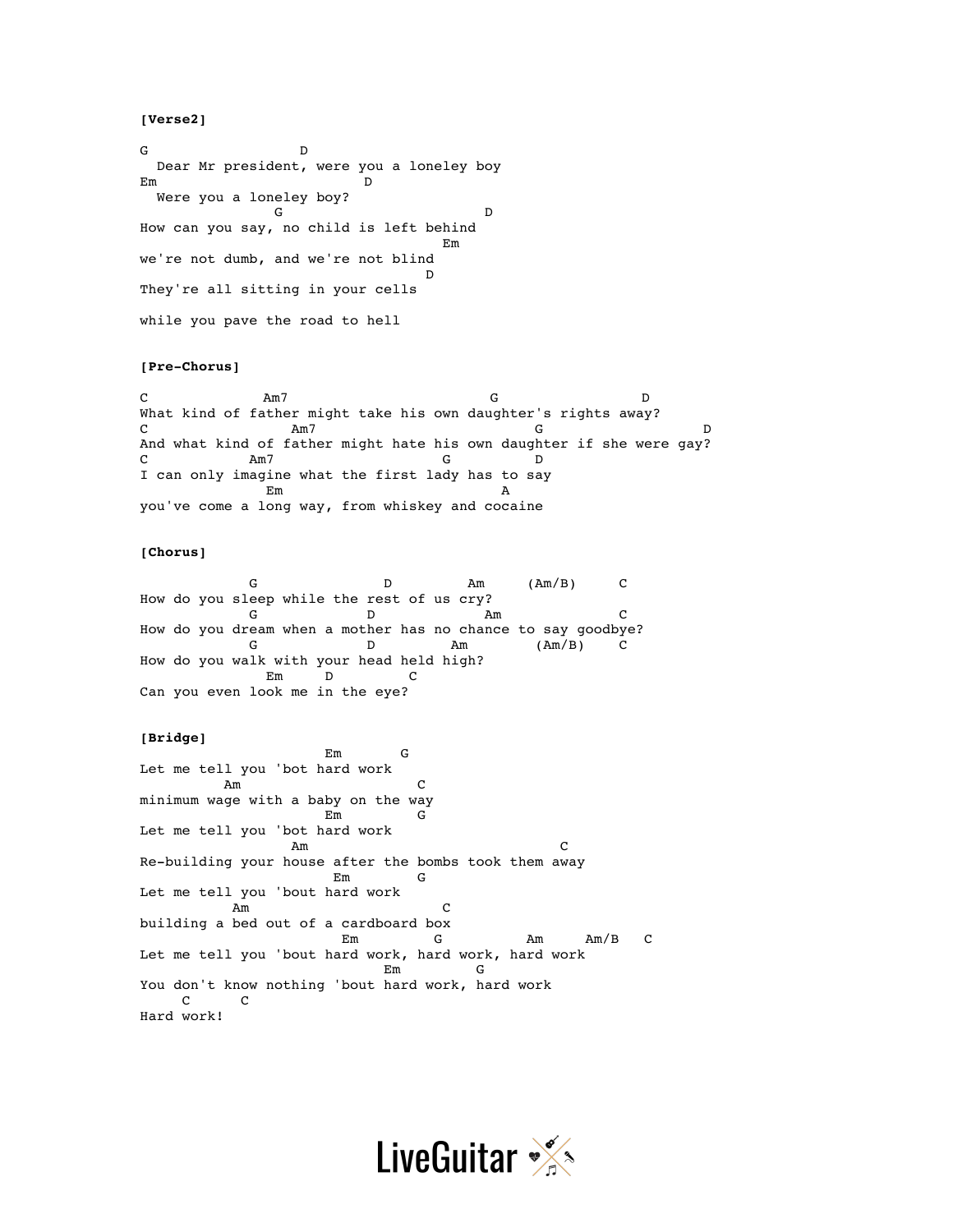# **[Verse2]**

G D Dear Mr president, were you a loneley boy Em D Were you a loneley boy? G D How can you say, no child is left behind Em we're not dumb, and we're not blind D They're all sitting in your cells while you pave the road to hell

# **[Pre-Chorus]**

C Am7 G D What kind of father might take his own daughter's rights away? C Am7 G D And what kind of father might hate his own daughter if she were gay? C Am7 G D I can only imagine what the first lady has to say extended by the contract of the contract of the contract of the contract of the contract of the contract of the contract of the contract of the contract of the contract of the contract of the contract of the contract of th you've come a long way, from whiskey and cocaine

#### **[Chorus]**

G D Am  $(Am/B)$  C How do you sleep while the rest of us cry? G D Am C How do you dream when a mother has no chance to say goodbye? G D Am  $(Am/B)$  C How do you walk with your head held high? Em D C Can you even look me in the eye?

## **[Bridge]**

 Em G Let me tell you 'bot hard work  $Am$ minimum wage with a baby on the way Em G Let me tell you 'bot hard work Am C Re-building your house after the bombs took them away  $Em$ Let me tell you 'bout hard work Am C building a bed out of a cardboard box Em G Am Am/B C Let me tell you 'bout hard work, hard work, hard work Em G You don't know nothing 'bout hard work, hard work C C Hard work!